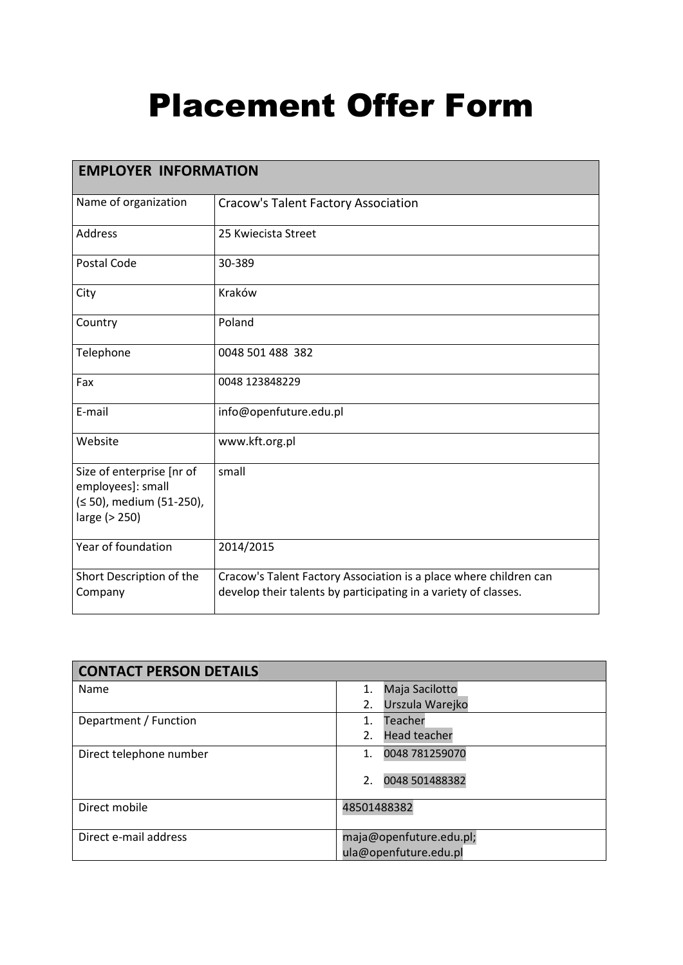## Placement Offer Form

| <b>EMPLOYER INFORMATION</b>                                                                 |                                                                                                                                      |  |
|---------------------------------------------------------------------------------------------|--------------------------------------------------------------------------------------------------------------------------------------|--|
| Name of organization                                                                        | <b>Cracow's Talent Factory Association</b>                                                                                           |  |
| Address                                                                                     | 25 Kwiecista Street                                                                                                                  |  |
| Postal Code                                                                                 | 30-389                                                                                                                               |  |
| City                                                                                        | Kraków                                                                                                                               |  |
| Country                                                                                     | Poland                                                                                                                               |  |
| Telephone                                                                                   | 0048 501 488 382                                                                                                                     |  |
| Fax                                                                                         | 0048 123848229                                                                                                                       |  |
| E-mail                                                                                      | info@openfuture.edu.pl                                                                                                               |  |
| Website                                                                                     | www.kft.org.pl                                                                                                                       |  |
| Size of enterprise [nr of<br>employees]: small<br>(≤ 50), medium (51-250),<br>large (> 250) | small                                                                                                                                |  |
| Year of foundation                                                                          | 2014/2015                                                                                                                            |  |
| Short Description of the<br>Company                                                         | Cracow's Talent Factory Association is a place where children can<br>develop their talents by participating in a variety of classes. |  |

| <b>CONTACT PERSON DETAILS</b> |                                                  |
|-------------------------------|--------------------------------------------------|
| Name                          | Maja Sacilotto<br>1.                             |
|                               | Urszula Warejko<br>2.                            |
| Department / Function         | Teacher<br>1.                                    |
|                               | <b>Head teacher</b><br>2.                        |
| Direct telephone number       | 0048 781259070<br>1.                             |
|                               | 2.<br>0048 501488382                             |
| Direct mobile                 | 48501488382                                      |
| Direct e-mail address         | maja@openfuture.edu.pl;<br>ula@openfuture.edu.pl |